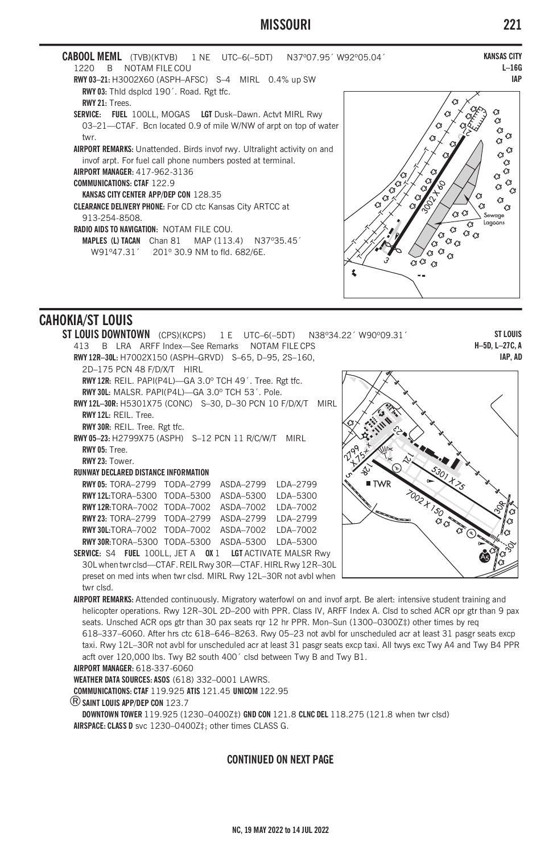# **MISSOURI 221**

| <b>CABOOL MEML</b> (TVB)(KTVB) 1 NE UTC-6(-5DT) N37°07.95' W92°05.04'<br>B NOTAM FILE COU<br>1220<br><b>RWY 03-21: H3002X60 (ASPH-AFSC) S-4 MIRL 0.4% up SW</b>                                                                                                                                                                                                                                                                                                                                                                                                 | <b>KANSAS CITY</b><br>$L - 160$<br><b>IAF</b>                                                                                                                      |
|-----------------------------------------------------------------------------------------------------------------------------------------------------------------------------------------------------------------------------------------------------------------------------------------------------------------------------------------------------------------------------------------------------------------------------------------------------------------------------------------------------------------------------------------------------------------|--------------------------------------------------------------------------------------------------------------------------------------------------------------------|
| RWY 03: Thid dsplcd 190'. Road. Rgt tfc.<br>RWY 21: Trees.<br>SERVICE: FUEL 100LL, MOGAS LGT Dusk-Dawn. Actyt MIRL Rwy<br>03-21-CTAF. Bcn located 0.9 of mile W/NW of arpt on top of water<br>twr.<br><b>AIRPORT REMARKS:</b> Unattended. Birds invof rwy. Ultralight activity on and<br>invof arpt. For fuel call phone numbers posted at terminal.<br>AIRPORT MANAGER: 417-962-3136<br><b>COMMUNICATIONS: CTAF 122.9</b><br><b>KANSAS CITY CENTER APP/DEP CON 128.35</b><br><b>CLEARANCE DELIVERY PHONE:</b> For CD ctc Kansas City ARTCC at<br>913-254-8508. | 63<br>43<br>43<br>€<br>43<br>43<br>$\alpha^{\,G}$<br>C3<br>$\mathcal{C}$<br>$\bigcirc$<br>-63<br>$\bigcirc$<br>43<br>73<br>$\bigcirc$<br>Q,<br>43<br>ියෙ<br>Sewage |
| <b>RADIO AIDS TO NAVIGATION: NOTAM FILE COU.</b><br><b>MAPLES (L) TACAN</b> Chan 81 MAP $(113.4)$ N37°35.45'<br>W91°47.31' 201° 30.9 NM to fld. 682/6E.                                                                                                                                                                                                                                                                                                                                                                                                         | Lagoons<br>43<br>$G_{\circlearrowleft}$<br>CЗ<br>$G_G$<br>C3                                                                                                       |

# **CAHOKIA/ST LOUIS**



**AIRPORT REMARKS:** Attended continuously. Migratory waterfowl on and invof arpt. Be alert: intensive student training and helicopter operations. Rwy 12R–30L 2D–200 with PPR. Class IV, ARFF Index A. Clsd to sched ACR opr gtr than 9 pax seats. Unsched ACR ops gtr than 30 pax seats rqr 12 hr PPR. Mon–Sun (1300–0300Z‡) other times by req 618–337–6060. After hrs ctc 618–646–8263. Rwy 05–23 not avbl for unscheduled acr at least 31 pasgr seats excp taxi. Rwy 12L–30R not avbl for unscheduled acr at least 31 pasgr seats excp taxi. All twys exc Twy A4 and Twy B4 PPR acft over 120,000 lbs. Twy B2 south 400´ clsd between Twy B and Twy B1.

**AIRPORT MANAGER:** 618-337-6060

**WEATHER DATA SOURCES: ASOS** (618) 332–0001 LAWRS.

**COMMUNICATIONS: CTAF** 119.925 **ATIS** 121.45 **UNICOM** 122.95

®**SAINT LOUIS APP/DEP CON** 123.7

**DOWNTOWN TOWER** 119.925 (1230–0400Z‡) **GND CON** 121.8 **CLNC DEL** 118.275 (121.8 when twr clsd) **AIRSPACE: CLASS D** svc 1230–0400Z‡; other times CLASS G.

### **CONTINUED ON NEXT PAGE**